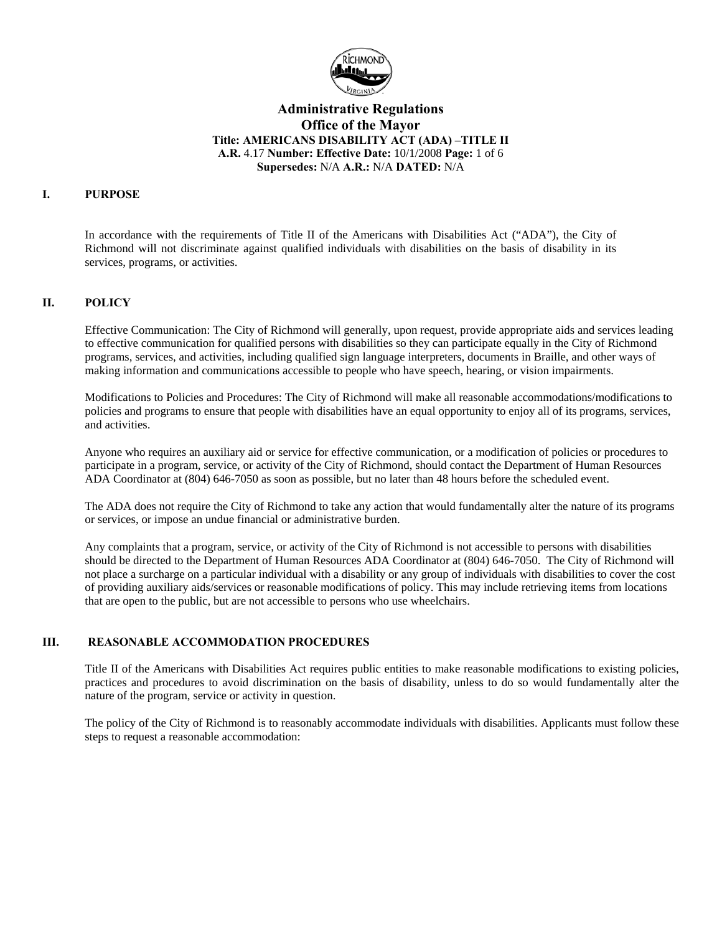

## **Administrative Regulations Office of the Mayor Title: AMERICANS DISABILITY ACT (ADA) –TITLE II A.R.** 4.17 **Number: Effective Date:** 10/1/2008 **Page:** 1 of 6 **Supersedes:** N/A **A.R.:** N/A **DATED:** N/A

### **I. PURPOSE**

In accordance with the requirements of Title II of the Americans with Disabilities Act ("ADA"), the City of Richmond will not discriminate against qualified individuals with disabilities on the basis of disability in its services, programs, or activities.

#### **II. POLICY**

Effective Communication: The City of Richmond will generally, upon request, provide appropriate aids and services leading to effective communication for qualified persons with disabilities so they can participate equally in the City of Richmond programs, services, and activities, including qualified sign language interpreters, documents in Braille, and other ways of making information and communications accessible to people who have speech, hearing, or vision impairments.

Modifications to Policies and Procedures: The City of Richmond will make all reasonable accommodations/modifications to policies and programs to ensure that people with disabilities have an equal opportunity to enjoy all of its programs, services, and activities.

Anyone who requires an auxiliary aid or service for effective communication, or a modification of policies or procedures to participate in a program, service, or activity of the City of Richmond, should contact the Department of Human Resources ADA Coordinator at (804) 646-7050 as soon as possible, but no later than 48 hours before the scheduled event.

The ADA does not require the City of Richmond to take any action that would fundamentally alter the nature of its programs or services, or impose an undue financial or administrative burden.

Any complaints that a program, service, or activity of the City of Richmond is not accessible to persons with disabilities should be directed to the Department of Human Resources ADA Coordinator at (804) 646-7050. The City of Richmond will not place a surcharge on a particular individual with a disability or any group of individuals with disabilities to cover the cost of providing auxiliary aids/services or reasonable modifications of policy. This may include retrieving items from locations that are open to the public, but are not accessible to persons who use wheelchairs.

#### **III. REASONABLE ACCOMMODATION PROCEDURES**

Title II of the Americans with Disabilities Act requires public entities to make reasonable modifications to existing policies, practices and procedures to avoid discrimination on the basis of disability, unless to do so would fundamentally alter the nature of the program, service or activity in question.

The policy of the City of Richmond is to reasonably accommodate individuals with disabilities. Applicants must follow these steps to request a reasonable accommodation: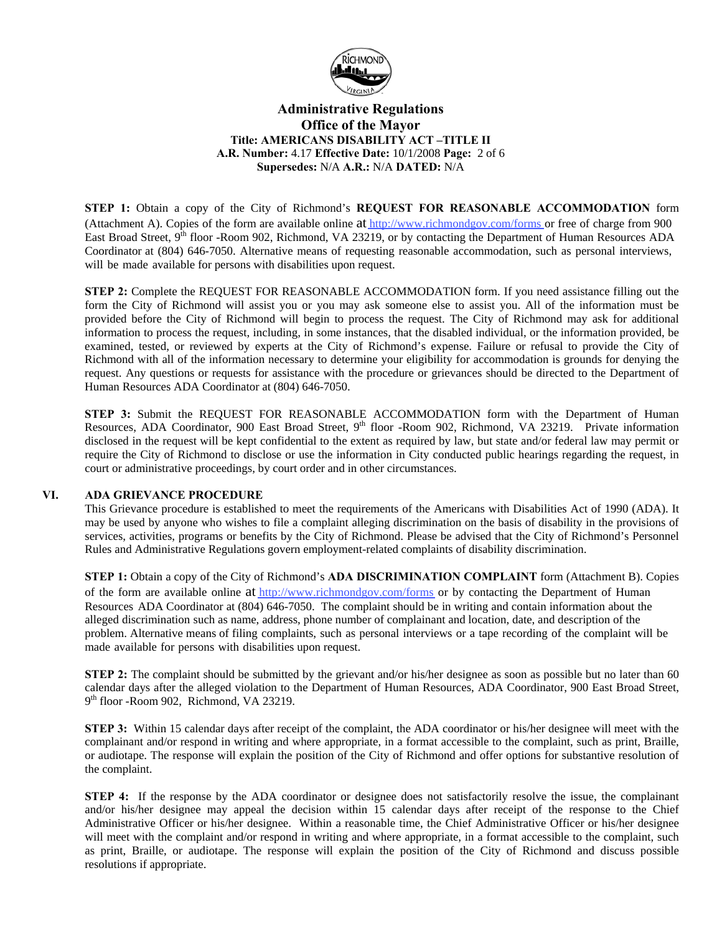

# **Administrative Regulations Office of the Mayor Title: AMERICANS DISABILITY ACT –TITLE II A.R. Number:** 4.17 **Effective Date:** 10/1/2008 **Page:** 2 of 6 **Supersedes:** N/A **A.R.:** N/A **DATED:** N/A

**STEP 1:** Obtain a copy of the City of Richmond's **REQUEST FOR REASONABLE ACCOMMODATION** form (Attachment A). Copies of the form are available online at [http://www.richmondgov.com/forms](http://www.richmondgov.com/forms/#resources) or free of charge from 900 East Broad Street, 9<sup>th</sup> floor -Room 902, Richmond, VA 23219, or by contacting the Department of Human Resources ADA Coordinator at (804) 646-7050. Alternative means of requesting reasonable accommodation, such as personal interviews, will be made available for persons with disabilities upon request.

**STEP 2:** Complete the REQUEST FOR REASONABLE ACCOMMODATION form. If you need assistance filling out the form the City of Richmond will assist you or you may ask someone else to assist you. All of the information must be provided before the City of Richmond will begin to process the request. The City of Richmond may ask for additional information to process the request, including, in some instances, that the disabled individual, or the information provided, be examined, tested, or reviewed by experts at the City of Richmond's expense. Failure or refusal to provide the City of Richmond with all of the information necessary to determine your eligibility for accommodation is grounds for denying the request. Any questions or requests for assistance with the procedure or grievances should be directed to the Department of Human Resources ADA Coordinator at (804) 646-7050.

**STEP 3:** Submit the REQUEST FOR REASONABLE ACCOMMODATION form with the Department of Human Resources, ADA Coordinator, 900 East Broad Street, 9<sup>th</sup> floor -Room 902, Richmond, VA 23219. Private information disclosed in the request will be kept confidential to the extent as required by law, but state and/or federal law may permit or require the City of Richmond to disclose or use the information in City conducted public hearings regarding the request, in court or administrative proceedings, by court order and in other circumstances.

#### **VI. ADA GRIEVANCE PROCEDURE**

This Grievance procedure is established to meet the requirements of the Americans with Disabilities Act of 1990 (ADA). It may be used by anyone who wishes to file a complaint alleging discrimination on the basis of disability in the provisions of services, activities, programs or benefits by the City of Richmond. Please be advised that the City of Richmond's Personnel Rules and Administrative Regulations govern employment-related complaints of disability discrimination.

**STEP 1:** Obtain a copy of the City of Richmond's **ADA DISCRIMINATION COMPLAINT** form (Attachment B). Copies of the form are available online at [http://www.richmondgov.com/forms](http://www.richmondgov.com/forms/#resources) or by contacting the Department of Human Resources ADA Coordinator at (804) 646-7050. The complaint should be in writing and contain information about the alleged discrimination such as name, address, phone number of complainant and location, date, and description of the problem. Alternative means of filing complaints, such as personal interviews or a tape recording of the complaint will be made available for persons with disabilities upon request.

**STEP 2:** The complaint should be submitted by the grievant and/or his/her designee as soon as possible but no later than 60 calendar days after the alleged violation to the Department of Human Resources, ADA Coordinator, 900 East Broad Street, 9<sup>th</sup> floor -Room 902, Richmond, VA 23219.

**STEP 3:** Within 15 calendar days after receipt of the complaint, the ADA coordinator or his/her designee will meet with the complainant and/or respond in writing and where appropriate, in a format accessible to the complaint, such as print, Braille, or audiotape. The response will explain the position of the City of Richmond and offer options for substantive resolution of the complaint.

**STEP 4:** If the response by the ADA coordinator or designee does not satisfactorily resolve the issue, the complainant and/or his/her designee may appeal the decision within 15 calendar days after receipt of the response to the Chief Administrative Officer or his/her designee. Within a reasonable time, the Chief Administrative Officer or his/her designee will meet with the complaint and/or respond in writing and where appropriate, in a format accessible to the complaint, such as print, Braille, or audiotape. The response will explain the position of the City of Richmond and discuss possible resolutions if appropriate.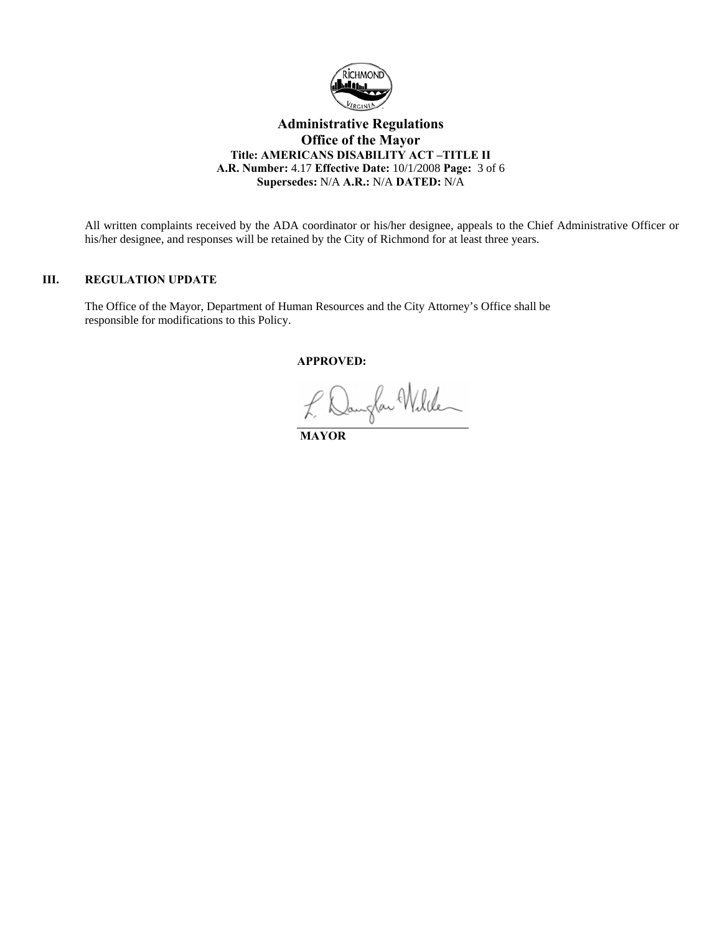

## **Administrative Regulations Office of the Mayor Title: AMERICANS DISABILITY ACT –TITLE II A.R. Number:** 4.17 **Effective Date:** 10/1/2008 **Page:** 3 of 6 **Supersedes:** N/A **A.R.:** N/A **DATED:** N/A

All written complaints received by the ADA coordinator or his/her designee, appeals to the Chief Administrative Officer or his/her designee, and responses will be retained by the City of Richmond for at least three years.

#### **III. REGULATION UPDATE**

The Office of the Mayor, Department of Human Resources and the City Attorney's Office shall be responsible for modifications to this Policy.

 **APPROVED:** 

 **MAYOR**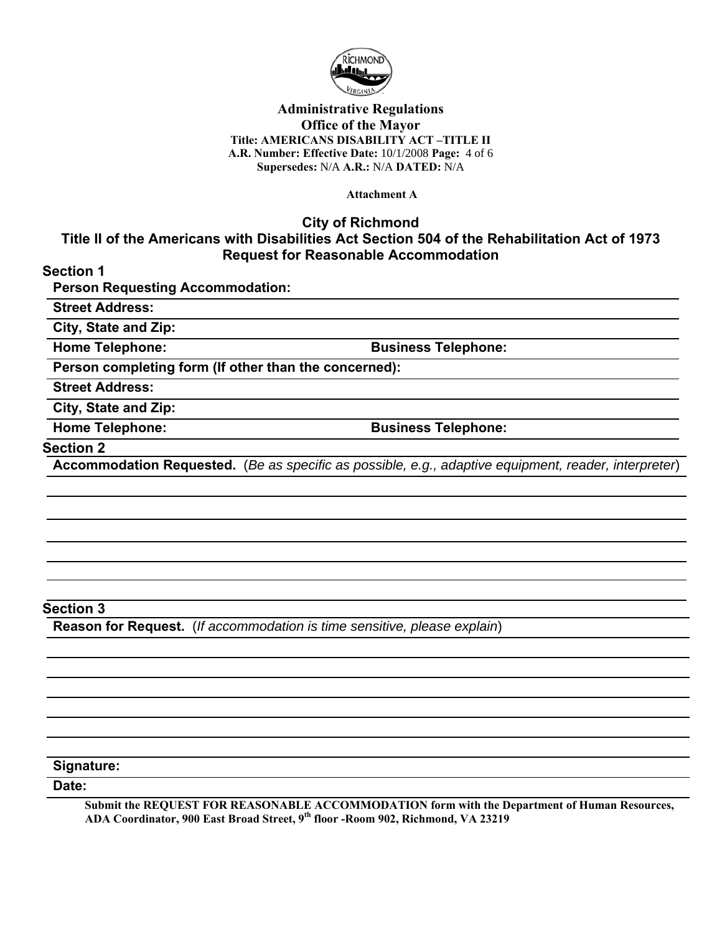

## **Administrative Regulations Office of the Mayor Title: AMERICANS DISABILITY ACT –TITLE II A.R. Number: Effective Date:** 10/1/2008 **Page:** 4 of 6 **Supersedes:** N/A **A.R.:** N/A **DATED:** N/A

**Attachment A** 

**City of Richmond**

# **Title II of the Americans with Disabilities Act Section 504 of the Rehabilitation Act of 1973 Request for Reasonable Accommodation**

**Section 1** 

**Person Requesting Accommodation:** 

**Street Address:**

**City, State and Zip:** 

**Home Telephone: Business Telephone:** 

**Person completing form (If other than the concerned):** 

**Street Address:** 

**City, State and Zip:** 

**Home Telephone: Business Telephone:** 

#### **Section 2**

**Accommodation Requested.** (*Be as specific as possible, e.g., adaptive equipment, reader, interpreter*)

# **Section 3**

**Reason for Request.** (*If accommodation is time sensitive, please explain*)

**Signature:** 

**Date:** 

**Submit the REQUEST FOR REASONABLE ACCOMMODATION form with the Department of Human Resources, ADA Coordinator, 900 East Broad Street, 9th floor -Room 902, Richmond, VA 23219**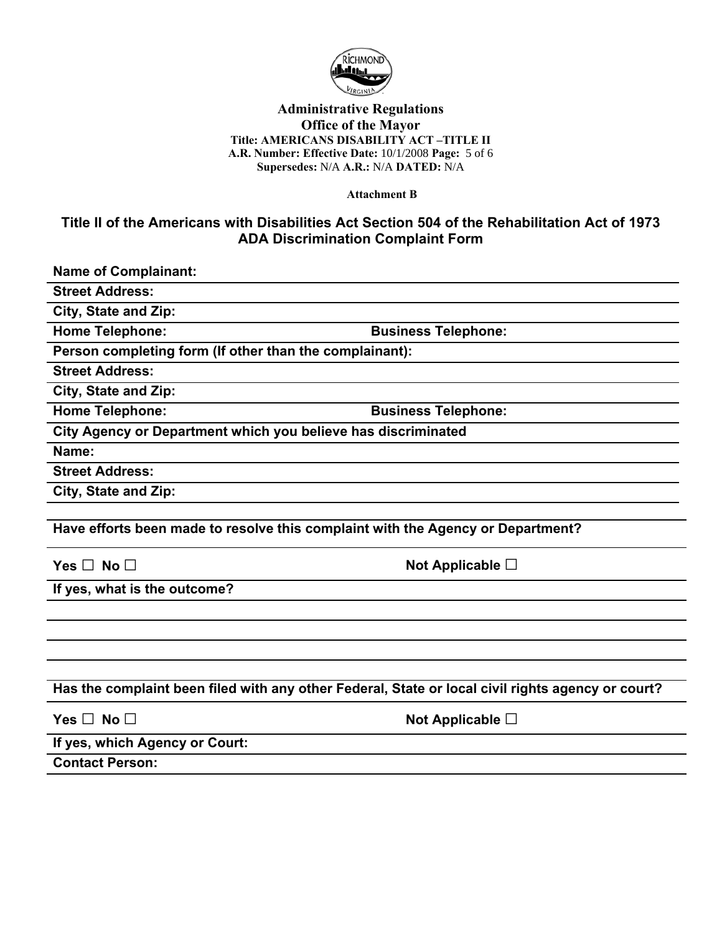

## **Administrative Regulations Office of the Mayor Title: AMERICANS DISABILITY ACT –TITLE II A.R. Number: Effective Date:** 10/1/2008 **Page:** 5 of 6 **Supersedes:** N/A **A.R.:** N/A **DATED:** N/A

**Attachment B** 

# **Title II of the Americans with Disabilities Act Section 504 of the Rehabilitation Act of 1973 ADA Discrimination Complaint Form**

**Name of Complainant:** 

**Street Address:** 

**City, State and Zip:** 

**Home Telephone: Business Telephone:** 

**Person completing form (If other than the complainant):** 

**Street Address:** 

**City, State and Zip:** 

**Home Telephone: Business Telephone:** 

**City Agency or Department which you believe has discriminated** 

**Name:** 

**Street Address:** 

**City, State and Zip:** 

**Have efforts been made to resolve this complaint with the Agency or Department?** 

**Yes □ No □ Not Applicable □** 

**If yes, what is the outcome?** 

**Has the complaint been filed with any other Federal, State or local civil rights agency or court?** 

**Yes □ No □ Not Applicable □ If yes, which Agency or Court:** 

**Contact Person:**